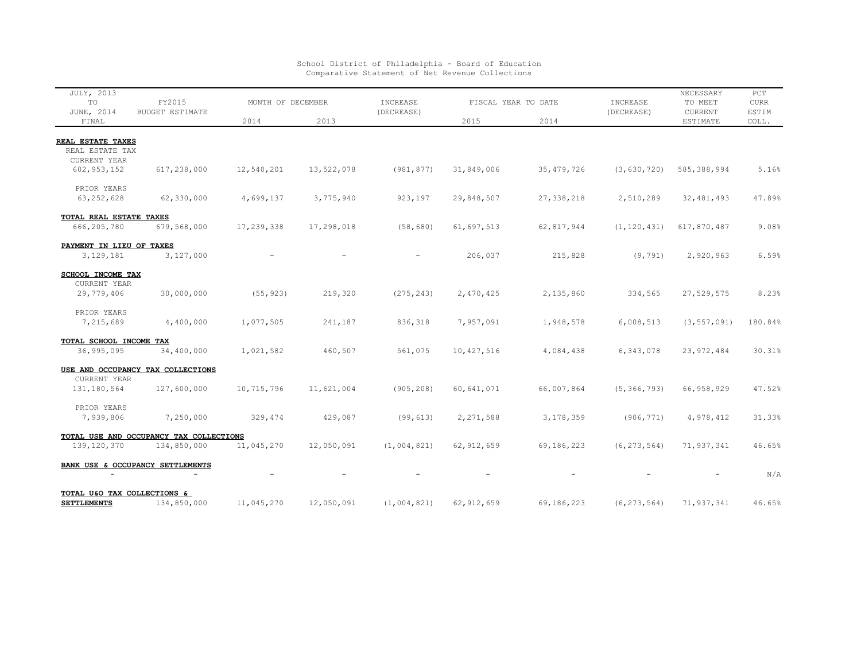| <b>JULY, 2013</b><br>TO                           | FY2015<br><b>BUDGET ESTIMATE</b>        | MONTH OF DECEMBER |            | INCREASE    | FISCAL YEAR TO DATE |              | INCREASE      | NECESSARY<br>TO MEET | PCT<br><b>CURR</b> |
|---------------------------------------------------|-----------------------------------------|-------------------|------------|-------------|---------------------|--------------|---------------|----------------------|--------------------|
| JUNE, 2014<br>FINAL                               |                                         | 2014              | 2013       | (DECREASE)  | 2015                | 2014         | (DECREASE)    | CURRENT<br>ESTIMATE  | ESTIM<br>COLL.     |
| REAL ESTATE TAXES                                 |                                         |                   |            |             |                     |              |               |                      |                    |
| REAL ESTATE TAX                                   |                                         |                   |            |             |                     |              |               |                      |                    |
| CURRENT YEAR                                      |                                         |                   |            |             |                     |              |               |                      |                    |
| 602, 953, 152                                     | 617,238,000                             | 12,540,201        | 13,522,078 | (981, 877)  | 31,849,006          | 35, 479, 726 | (3, 630, 720) | 585, 388, 994        | 5.16%              |
| PRIOR YEARS                                       |                                         |                   |            |             |                     |              |               |                      |                    |
| 63, 252, 628                                      | 62,330,000                              | 4,699,137         | 3,775,940  | 923,197     | 29,848,507          | 27, 338, 218 | 2,510,289     | 32, 481, 493         | 47.89%             |
| TOTAL REAL ESTATE TAXES                           |                                         |                   |            |             |                     |              |               |                      |                    |
| 666, 205, 780                                     | 679,568,000                             | 17,239,338        | 17,298,018 | (58, 680)   | 61,697,513          | 62,817,944   | (1, 120, 431) | 617,870,487          | 9.08%              |
| PAYMENT IN LIEU OF TAXES<br>3, 129, 181           | 3,127,000                               |                   |            |             | 206,037             | 215,828      | (9, 791)      | 2,920,963            | 6.59%              |
|                                                   |                                         |                   |            |             |                     |              |               |                      |                    |
| SCHOOL INCOME TAX<br><b>CURRENT YEAR</b>          |                                         |                   |            |             |                     |              |               |                      |                    |
| 29,779,406                                        | 30,000,000                              | (55, 923)         | 219,320    | (275, 243)  | 2,470,425           | 2,135,860    | 334,565       | 27,529,575           | 8.23%              |
| PRIOR YEARS                                       |                                         |                   |            |             |                     |              |               |                      |                    |
| 7,215,689                                         | 4,400,000                               | 1,077,505         | 241,187    | 836,318     | 7,957,091           | 1,948,578    | 6,008,513     | (3, 557, 091)        | 180.84%            |
| TOTAL SCHOOL INCOME TAX                           |                                         |                   |            |             |                     |              |               |                      |                    |
| 36,995,095                                        | 34,400,000                              | 1,021,582         | 460,507    | 561,075     | 10,427,516          | 4,084,438    | 6,343,078     | 23, 972, 484         | 30.31%             |
|                                                   | USE AND OCCUPANCY TAX COLLECTIONS       |                   |            |             |                     |              |               |                      |                    |
| CURRENT YEAR<br>131, 180, 564                     | 127,600,000                             | 10,715,796        | 11,621,004 | (905, 208)  | 60,641,071          | 66,007,864   | (5, 366, 793) | 66, 958, 929         | 47.52%             |
|                                                   |                                         |                   |            |             |                     |              |               |                      |                    |
| PRIOR YEARS                                       |                                         |                   |            |             |                     |              |               |                      |                    |
| 7,939,806                                         | 7,250,000                               | 329,474           | 429,087    | (99, 613)   | 2,271,588           | 3,178,359    | (906, 771)    | 4,978,412            | 31.33%             |
|                                                   | TOTAL USE AND OCCUPANCY TAX COLLECTIONS |                   |            |             |                     |              |               |                      |                    |
| 139, 120, 370                                     | 134,850,000                             | 11,045,270        | 12,050,091 | (1,004,821) | 62, 912, 659        | 69,186,223   | (6, 273, 564) | 71,937,341           | 46.65%             |
|                                                   | BANK USE & OCCUPANCY SETTLEMENTS        |                   |            |             |                     |              |               |                      | N/A                |
|                                                   |                                         |                   |            |             |                     |              |               |                      |                    |
| TOTAL U&O TAX COLLECTIONS &<br><b>SETTLEMENTS</b> | 134,850,000                             | 11,045,270        | 12,050,091 | (1,004,821) | 62, 912, 659        | 69,186,223   | (6, 273, 564) | 71,937,341           | 46.65%             |
|                                                   |                                         |                   |            |             |                     |              |               |                      |                    |

School District of Philadelphia - Board of Education Comparative Statement of Net Revenue Collections